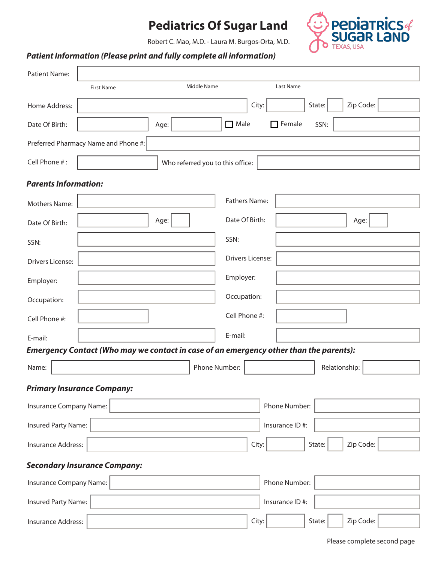## **Pediatrics Of Sugar Land**



Robert C. Mao, M.D. - Laura M. Burgos-Orta, M.D.

## *Patient Information (Please print and fully complete all information)*

| <b>Patient Name:</b>                                                                   |                   |                                  |                         |                |               |           |  |  |  |
|----------------------------------------------------------------------------------------|-------------------|----------------------------------|-------------------------|----------------|---------------|-----------|--|--|--|
|                                                                                        | <b>First Name</b> | Middle Name                      |                         | Last Name      |               |           |  |  |  |
| Home Address:                                                                          |                   |                                  | City:                   |                | State:        | Zip Code: |  |  |  |
| Date Of Birth:                                                                         |                   | Age:                             | $\Box$ Male             | Female         | SSN:          |           |  |  |  |
| Preferred Pharmacy Name and Phone #:                                                   |                   |                                  |                         |                |               |           |  |  |  |
| Cell Phone #:                                                                          |                   | Who referred you to this office: |                         |                |               |           |  |  |  |
| <b>Parents Information:</b>                                                            |                   |                                  |                         |                |               |           |  |  |  |
| Mothers Name:                                                                          |                   |                                  | <b>Fathers Name:</b>    |                |               |           |  |  |  |
| Date Of Birth:                                                                         |                   | Age:                             | Date Of Birth:          |                |               | Age:      |  |  |  |
| SSN:                                                                                   |                   |                                  | SSN:                    |                |               |           |  |  |  |
| <b>Drivers License:</b>                                                                |                   |                                  | <b>Drivers License:</b> |                |               |           |  |  |  |
|                                                                                        |                   |                                  |                         |                |               |           |  |  |  |
| Employer:                                                                              |                   |                                  | Employer:               |                |               |           |  |  |  |
| Occupation:                                                                            |                   |                                  | Occupation:             |                |               |           |  |  |  |
| Cell Phone #:                                                                          |                   |                                  | Cell Phone #:           |                |               |           |  |  |  |
| E-mail:                                                                                |                   |                                  | E-mail:                 |                |               |           |  |  |  |
| Emergency Contact (Who may we contact in case of an emergency other than the parents): |                   |                                  |                         |                |               |           |  |  |  |
| Name:                                                                                  |                   | Phone Number:                    |                         |                | Relationship: |           |  |  |  |
| <b>Primary Insurance Company:</b>                                                      |                   |                                  |                         |                |               |           |  |  |  |
| Insurance Company Name:                                                                |                   |                                  |                         | Phone Number:  |               |           |  |  |  |
| Insured Party Name:<br>Insurance ID#:                                                  |                   |                                  |                         |                |               |           |  |  |  |
| Insurance Address:                                                                     |                   |                                  | City:                   |                | State:        | Zip Code: |  |  |  |
| <b>Secondary Insurance Company:</b>                                                    |                   |                                  |                         |                |               |           |  |  |  |
| Insurance Company Name:<br>Phone Number:                                               |                   |                                  |                         |                |               |           |  |  |  |
| Insured Party Name:                                                                    |                   |                                  |                         | Insurance ID#: |               |           |  |  |  |
| <b>Insurance Address:</b>                                                              |                   |                                  | City:                   |                | State:        | Zip Code: |  |  |  |